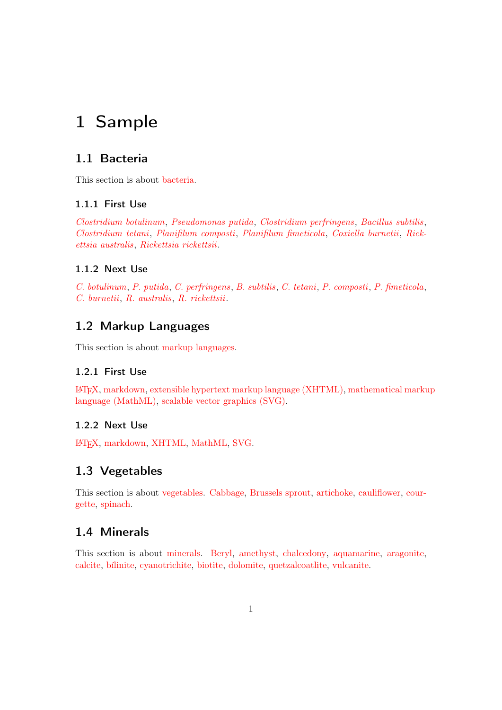# <span id="page-0-0"></span>1 Sample

## 1.1 Bacteria

This section is about [bacteria.](#page-9-0)

## 1.1.1 First Use

[Clostridium botulinum](#page-3-0), [Pseudomonas putida](#page-3-1), [Clostridium perfringens](#page-3-2), [Bacillus subtilis](#page-3-3), [Clostridium tetani](#page-3-4), [Planifilum composti](#page-3-5), [Planifilum fimeticola](#page-3-6), [Coxiella burnetii](#page-3-7), [Rick](#page-3-8)[ettsia australis](#page-3-8), [Rickettsia rickettsii](#page-3-9).

## 1.1.2 Next Use

[C. botulinum](#page-3-0), [P. putida](#page-3-1), [C. perfringens](#page-3-2), [B. subtilis](#page-3-3), [C. tetani](#page-3-4), [P. composti](#page-3-5), [P. fimeticola](#page-3-6), [C. burnetii](#page-3-7), [R. australis](#page-3-8), [R. rickettsii](#page-3-9).

## 1.2 Markup Languages

This section is about [markup languages.](#page-10-0)

## 1.2.1 First Use

LA[TEX,](#page-3-10) [markdown,](#page-3-11) [extensible hypertext markup language \(XHTML\),](#page-3-12) [mathematical marku](#page-3-13)p [language \(MathML\),](#page-3-13) [scalable vector graphics \(SVG\).](#page-3-14)

## 1.2.2 Next Use

LA[TEX,](#page-3-10) [markdown,](#page-3-11) [XHTML,](#page-3-12) [MathML,](#page-3-13) [SVG.](#page-3-14)

## 1.3 Vegetables

This section is about [vegetables.](#page-11-0) [Cabbage,](#page-4-0) [Brussels sprout,](#page-4-1) [artichoke,](#page-4-2) [cauliflower,](#page-4-3) [cour](#page-4-4)[gette,](#page-4-4) [spinach.](#page-4-5)

## 1.4 Minerals

This section is about [minerals.](#page-10-1) [Beryl,](#page-4-6) [amethyst,](#page-4-7) [chalcedony,](#page-4-8) [aquamarine,](#page-4-9) [aragonite,](#page-4-10) [calcite,](#page-4-11) [bílinite,](#page-4-12) [cyanotrichite,](#page-4-13) [biotite,](#page-4-14) [dolomite,](#page-4-15) [quetzalcoatlite,](#page-4-16) [vulcanite.](#page-4-17)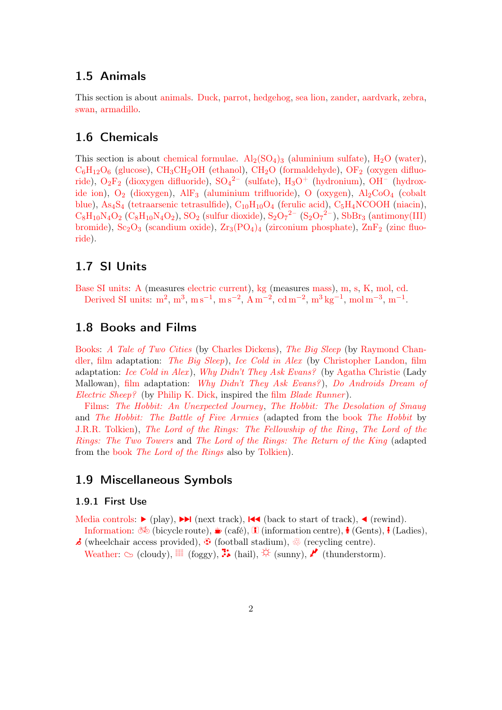## <span id="page-1-0"></span>1.5 Animals

This section is about [animals.](#page-9-1) [Duck,](#page-5-0) [parrot,](#page-5-1) [hedgehog,](#page-5-2) [sea lion,](#page-5-3) [zander,](#page-5-4) [aardvark,](#page-5-5) [zebra,](#page-5-6) [swan,](#page-5-7) [armadillo.](#page-5-8)

## 1.6 Chemicals

This section is about [chemical formulae.](#page-9-2)  $\text{Al}_2(\text{SO}_4)_3$  $\text{Al}_2(\text{SO}_4)_3$  $\text{Al}_2(\text{SO}_4)_3$  [\(aluminium sulfate\)](#page-6-0),  $\text{H}_2\text{O}$  [\(water\)](#page-6-1),  $C_6H_{12}O_6$  $C_6H_{12}O_6$  $C_6H_{12}O_6$  [\(glucose\)](#page-6-2),  $CH_3CH_2OH$  $CH_3CH_2OH$  [\(ethanol\)](#page-6-3),  $CH_2O$  $CH_2O$  [\(formaldehyde\)](#page-6-4),  $OF_2$  $OF_2$  [\(oxygen difluo](#page-6-5)[ride\)](#page-6-5),  $O_2F_2$  $O_2F_2$  [\(dioxygen difluoride\)](#page-6-6),  $SO_4{}^{2-}$  $SO_4{}^{2-}$  [\(sulfate\)](#page-6-7),  $H_3O^+$  [\(hydronium\)](#page-6-8),  $OH^ OH^-$  [\(hydrox](#page-6-9)[ide ion\)](#page-6-9),  $O_2$  $O_2$  [\(dioxygen\)](#page-6-10), [AlF](#page-6-11)<sub>3</sub> [\(aluminium trifluoride\)](#page-6-11), O [\(oxygen\)](#page-6-12), Al<sub>2</sub>[CoO](#page-6-13)<sub>4</sub> [\(cobalt](#page-6-13) [blue\)](#page-6-13), [As](#page-6-14)<sub>4</sub>S<sub>4</sub> [\(tetraarsenic tetrasulfide\)](#page-6-14),  $C_{10}H_{10}O_4$  $C_{10}H_{10}O_4$  $C_{10}H_{10}O_4$  [\(ferulic acid\)](#page-6-15),  $C_5H_4NCOOH$  $C_5H_4NCOOH$  [\(niacin\)](#page-6-16),  $C_8H_{10}N_4O_2 (C_8H_{10}N_4O_2)$  $C_8H_{10}N_4O_2 (C_8H_{10}N_4O_2)$  $C_8H_{10}N_4O_2 (C_8H_{10}N_4O_2)$  $C_8H_{10}N_4O_2 (C_8H_{10}N_4O_2)$  $C_8H_{10}N_4O_2 (C_8H_{10}N_4O_2)$ , [SO](#page-6-18)<sub>2</sub> [\(sulfur dioxide\)](#page-6-18), S<sub>2</sub>O<sub>7</sub><sup>2-</sup> (S<sub>2</sub>O<sub>7</sub><sup>2-</sup>), [SbBr](#page-6-20)<sub>3</sub> [\(antimony\(III\)](#page-6-20) [bromide\)](#page-6-20),  $Sc_2O_3$  $Sc_2O_3$  [\(scandium oxide\)](#page-6-21),  $Zr_3(PO_4)_4$  $Zr_3(PO_4)_4$  $Zr_3(PO_4)_4$  [\(zirconium phosphate\)](#page-6-22),  $ZnF_2$  $ZnF_2$  [\(zinc fluo](#page-6-23)[ride\)](#page-6-23).

## 1.7 SI Units

[Base SI units:](#page-9-3) [A](#page-7-0) (measures [electric current\)](#page-7-0), [kg](#page-7-1) (measures [mass\)](#page-7-1), [m](#page-7-2), [s](#page-7-3), [K](#page-7-4), [mol](#page-7-5), [cd](#page-7-6). [Derived SI units:](#page-10-2)  $m^2$  $m^2$ ,  $m^3$ ,  $m s^{-1}$  $m s^{-1}$ ,  $m s^{-2}$ ,  $A m^{-2}$  $A m^{-2}$ ,  $c d m^{-2}$ ,  $m^3 kg^{-1}$  $m^3 kg^{-1}$  $m^3 kg^{-1}$ ,  $m o l m^{-3}$ ,  $m^{-1}$ .

## 1.8 Books and Films

[Books:](#page-9-4) [A Tale of Two Cities](#page-5-9) (by [Charles Dickens\)](#page-5-10), [The Big Sleep](#page-5-11) (by [Raymond Chan](#page-5-12)[dler,](#page-5-12) [film](#page-10-3) adaptation: [The Big Sleep](#page-6-24)), [Ice Cold in Alex](#page-5-13) (by [Christopher Landon,](#page-5-14) [film](#page-10-3) adaptation: [Ice Cold in Alex](#page-6-25)), [Why Didn't They Ask Evans?](#page-5-15) (by [Agatha Christie](#page-5-16) (Lady Mallowan), [film](#page-10-3) adaptation: [Why Didn't They Ask Evans?](#page-6-26)), [Do Androids Dream of](#page-5-17) [Electric Sheep?](#page-5-17) (by [Philip K. Dick,](#page-5-18) inspired the [film](#page-10-3) [Blade Runner](#page-6-27)).

[Films:](#page-10-3) [The Hobbit: An Unexpected Journey](#page-6-28), [The Hobbit: The Desolation of Smaug](#page-6-29) and [The Hobbit: The Battle of Five Armies](#page-6-30) (adapted from the [book](#page-9-4) [The Hobbit](#page-5-19) by [J.R.R. Tolkien\)](#page-5-20), [The Lord of the Rings: The Fellowship of the Ring](#page-6-31), [The Lord of the](#page-6-32) [Rings: The Two Towers](#page-6-32) and [The Lord of the Rings: The Return of the King](#page-6-33) (adapted from the [book](#page-9-4) [The Lord of the Rings](#page-5-21) also by [Tolkien\)](#page-5-20).

## 1.9 Miscellaneous Symbols

### 1.9.1 First Use

- [Media controls:](#page-10-4)  $\triangleright$  (play),  $\triangleright$  (next track),  $\blacktriangleleft$  (back to start of track),  $\blacktriangleleft$  (rewind). [Information:](#page-10-5)  $\delta\Phi$  $\delta\Phi$  (bic[y](#page-7-20)cle route),  $\psi$  (café), I (information centre),  $\dot{\phi}$  (Gents), i (Ladies),
- $\mathcal{\mathcal{S}}$  ([w](#page-7-21)heelchair access pr[o](#page-7-22)vided),  $\mathcal{\mathcal{D}}$  (football stadium),  $\mathcal{\mathcal{S}}$  (recycling centre). [Weather:](#page-11-1)  $\circledcirc$  (cloudy),  $\blacksquare$  (foggy),  $\clubsuit$  (hail),  $\breve{\diamond}$  (sunny),  $\blacktriangleright$  (thunderstorm).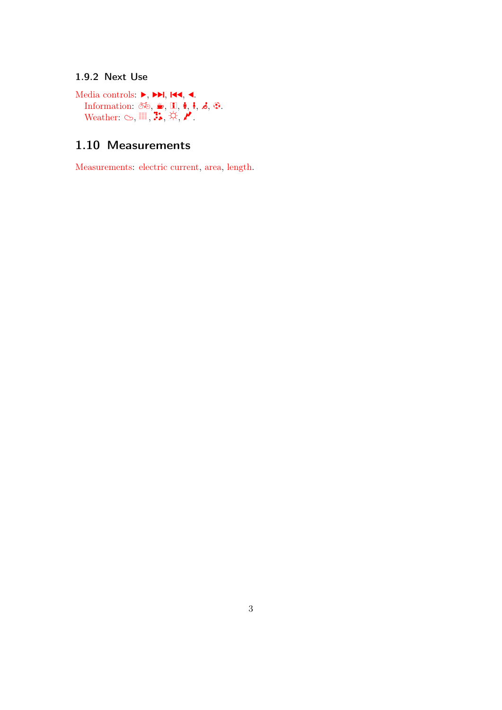## <span id="page-2-0"></span>1.9.2 Next Use

[Media controls:](#page-10-4)  $\blacktriangleright$ ,  $\blacktriangleright$   $\blacktriangleright$ ,  $\blacktriangleright$   $\blacktriangleleft$ ,  $\blacktriangleleft$ . [Information:](#page-10-5) [®](#page-7-16), [K](#page-7-17), [i](#page-7-18), [x](#page-7-19), [y](#page-7-20), [w](#page-7-21), [o](#page-7-22). [Weather:](#page-11-1)  $\circlearrowright$ ,  $\mathbb{H}$ ,  $\mathbb{R}, \forall$ ,  $\mathcal{V}$ .

## 1.10 Measurements

[Measurements:](#page-10-6) [electric current,](#page-7-0) [area,](#page-7-7) [length.](#page-7-2)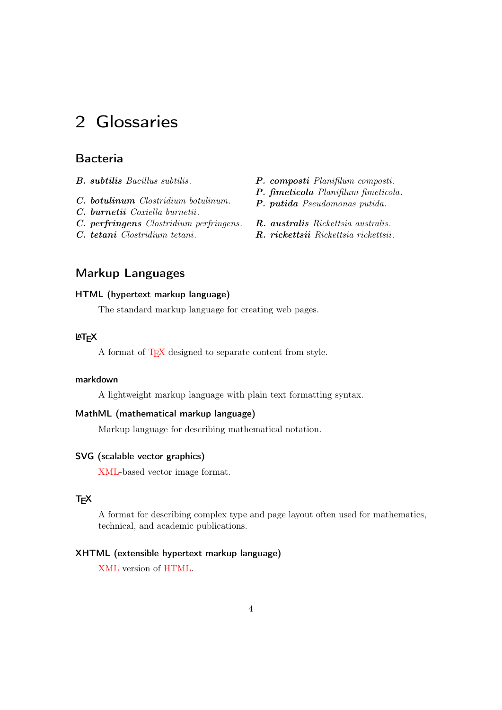# <span id="page-3-17"></span>2 Glossaries

## Bacteria

- <span id="page-3-3"></span>B. subtilis Bacillus subtilis.
- <span id="page-3-0"></span>C. botulinum Clostridium botulinum.
- <span id="page-3-7"></span>C. burnetii Coxiella burnetii.
- <span id="page-3-2"></span>C. perfringens Clostridium perfringens.
- <span id="page-3-4"></span>C. tetani Clostridium tetani.
- <span id="page-3-5"></span>P. composti Planifilum composti.
- <span id="page-3-6"></span>P. fimeticola Planifilum fimeticola.
- <span id="page-3-1"></span>P. putida Pseudomonas putida.
- <span id="page-3-8"></span>R. australis Rickettsia australis.
- <span id="page-3-9"></span>R. rickettsii Rickettsia rickettsii.

## Markup Languages

## <span id="page-3-16"></span>HTML (hypertext markup language)

The standard markup language for creating web pages.

#### <span id="page-3-10"></span> $\mathsf{MT}_{\mathsf{F}}\mathsf{X}$

A format of T<sub>F</sub>X designed to separate content from style.

## <span id="page-3-11"></span>markdown

A lightweight markup language with plain text formatting syntax.

#### <span id="page-3-13"></span>MathML (mathematical markup language)

Markup language for describing mathematical notation.

#### <span id="page-3-14"></span>SVG (scalable vector graphics)

[XML-](#page-4-18)based vector image format.

## <span id="page-3-15"></span>**T<sub>E</sub>X**

A format for describing complex type and page layout often used for mathematics, technical, and academic publications.

#### <span id="page-3-12"></span>XHTML (extensible hypertext markup language)

[XML](#page-4-18) version of [HTML.](#page-3-16)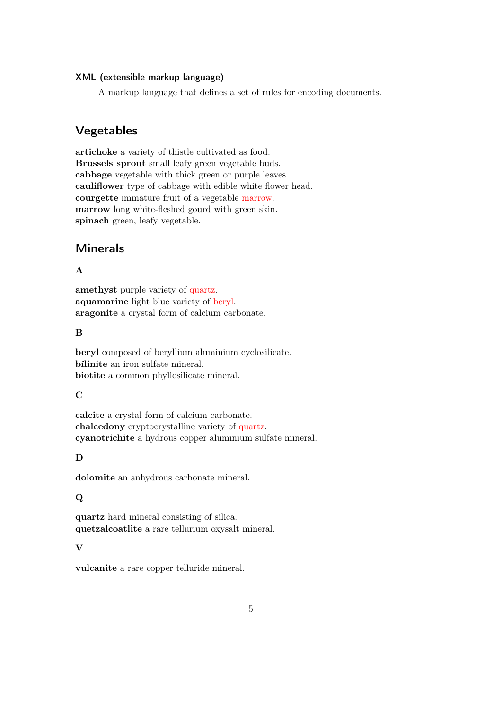#### <span id="page-4-21"></span><span id="page-4-18"></span>XML (extensible markup language)

A markup language that defines a set of rules for encoding documents.

## Vegetables

<span id="page-4-4"></span><span id="page-4-3"></span><span id="page-4-2"></span><span id="page-4-1"></span><span id="page-4-0"></span>artichoke a variety of thistle cultivated as food. Brussels sprout small leafy green vegetable buds. cabbage vegetable with thick green or purple leaves. cauliflower type of cabbage with edible white flower head. courgette immature fruit of a vegetable [marrow.](#page-4-19) marrow long white-fleshed gourd with green skin. spinach green, leafy vegetable.

## <span id="page-4-19"></span><span id="page-4-5"></span>Minerals

#### A

<span id="page-4-9"></span><span id="page-4-7"></span>amethyst purple variety of [quartz.](#page-4-20) aquamarine light blue variety of [beryl.](#page-4-6) aragonite a crystal form of calcium carbonate.

#### <span id="page-4-10"></span>B

<span id="page-4-12"></span><span id="page-4-6"></span>beryl composed of beryllium aluminium cyclosilicate. bílinite an iron sulfate mineral. biotite a common phyllosilicate mineral.

#### <span id="page-4-14"></span> $\mathbf C$

<span id="page-4-11"></span><span id="page-4-8"></span>calcite a crystal form of calcium carbonate. chalcedony cryptocrystalline variety of [quartz.](#page-4-20) cyanotrichite a hydrous copper aluminium sulfate mineral.

## <span id="page-4-13"></span>D

<span id="page-4-15"></span>dolomite an anhydrous carbonate mineral.

#### Q

<span id="page-4-20"></span><span id="page-4-16"></span>quartz hard mineral consisting of silica. quetzalcoatlite a rare tellurium oxysalt mineral.

#### V

<span id="page-4-17"></span>vulcanite a rare copper telluride mineral.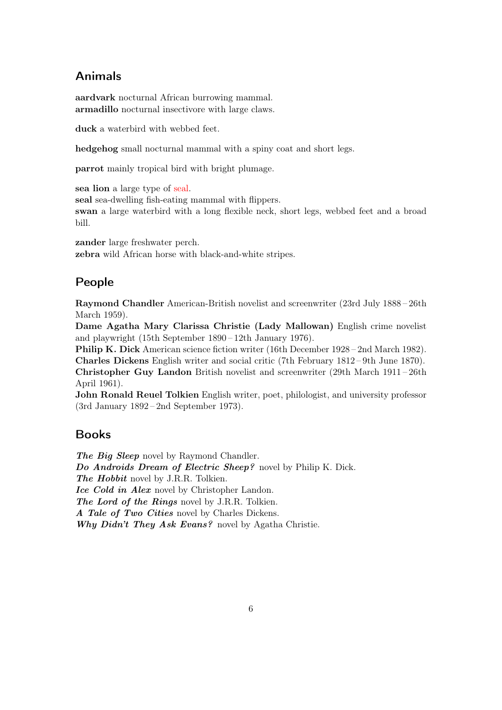## <span id="page-5-23"></span>Animals

<span id="page-5-8"></span><span id="page-5-5"></span>aardvark nocturnal African burrowing mammal. armadillo nocturnal insectivore with large claws.

<span id="page-5-0"></span>duck a waterbird with webbed feet.

<span id="page-5-2"></span>hedgehog small nocturnal mammal with a spiny coat and short legs.

<span id="page-5-1"></span>parrot mainly tropical bird with bright plumage.

<span id="page-5-3"></span>sea lion a large type of [seal.](#page-5-22)

<span id="page-5-22"></span>seal sea-dwelling fish-eating mammal with flippers.

<span id="page-5-7"></span>swan a large waterbird with a long flexible neck, short legs, webbed feet and a broad bill.

<span id="page-5-6"></span><span id="page-5-4"></span>zander large freshwater perch. zebra wild African horse with black-and-white stripes.

## People

<span id="page-5-12"></span>Raymond Chandler American-British novelist and screenwriter (23rd July 1888 – 26th March 1959).

<span id="page-5-16"></span>Dame Agatha Mary Clarissa Christie (Lady Mallowan) English crime novelist and playwright (15th September 1890 – 12th January 1976).

<span id="page-5-18"></span><span id="page-5-10"></span>Philip K. Dick American science fiction writer (16th December 1928 – 2nd March 1982). Charles Dickens English writer and social critic (7th February 1812 – 9th June 1870). Christopher Guy Landon British novelist and screenwriter (29th March 1911 – 26th April 1961).

<span id="page-5-20"></span><span id="page-5-14"></span>John Ronald Reuel Tolkien English writer, poet, philologist, and university professor (3rd January 1892 – 2nd September 1973).

## Books

<span id="page-5-21"></span><span id="page-5-19"></span><span id="page-5-17"></span><span id="page-5-15"></span><span id="page-5-13"></span><span id="page-5-11"></span><span id="page-5-9"></span>The Big Sleep novel by Raymond Chandler. Do Androids Dream of Electric Sheep? novel by Philip K. Dick. The Hobbit novel by J.R.R. Tolkien. Ice Cold in Alex novel by Christopher Landon. The Lord of the Rings novel by J.R.R. Tolkien. A Tale of Two Cities novel by Charles Dickens. Why Didn't They Ask Evans? novel by Agatha Christie.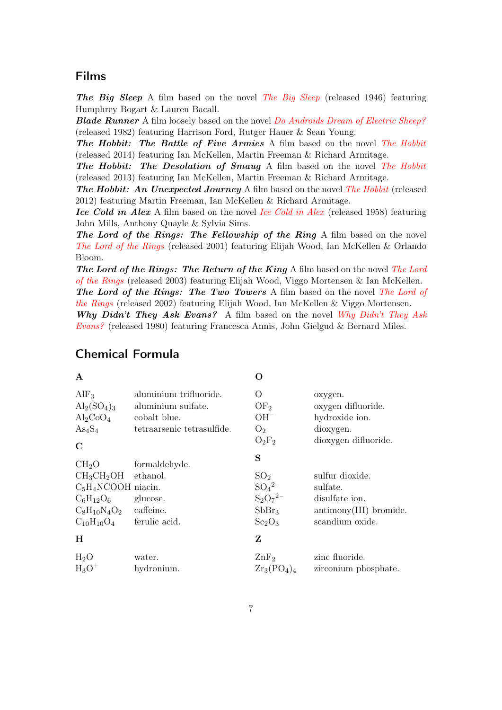## <span id="page-6-34"></span>Films

<span id="page-6-24"></span>[The Big Sleep](#page-5-11) A film based on the novel The Big Sleep (released 1946) featuring Humphrey Bogart & Lauren Bacall.

<span id="page-6-27"></span>**Blade Runner** A film loosely based on the novel *[Do Androids Dream of Electric Sheep?](#page-5-17)* (released 1982) featuring Harrison Ford, Rutger Hauer & Sean Young.

<span id="page-6-30"></span>[The Hobbit](#page-5-19): The Battle of Five Armies A film based on the novel The Hobbit (released 2014) featuring Ian McKellen, Martin Freeman & Richard Armitage.

<span id="page-6-29"></span>[The Hobbit](#page-5-19): The Desolation of Smaug A film based on the novel The Hobbit (released 2013) featuring Ian McKellen, Martin Freeman & Richard Armitage.

<span id="page-6-28"></span>[The Hobbit](#page-5-19): An Unexpected Journey A film based on the novel The Hobbit (released 2012) featuring Martin Freeman, Ian McKellen & Richard Armitage.

<span id="page-6-25"></span>[Ice Cold in Alex](#page-5-13) A film based on the novel Ice Cold in Alex (released 1958) featuring John Mills, Anthony Quayle & Sylvia Sims.

<span id="page-6-31"></span>The Lord of the Rings: The Fellowship of the Ring A film based on the novel [The Lord of the Rings](#page-5-21) (released 2001) featuring Elijah Wood, Ian McKellen & Orlando Bloom.

<span id="page-6-33"></span>[The Lord](#page-5-21) of the Rings: The Return of the King A film based on the novel The Lord [of the Rings](#page-5-21) (released 2003) featuring Elijah Wood, Viggo Mortensen & Ian McKellen. [The Lord of](#page-5-21) the Rings: The Two Towers A film based on the novel The Lord of [the Rings](#page-5-21) (released 2002) featuring Elijah Wood, Ian McKellen & Viggo Mortensen.

<span id="page-6-32"></span><span id="page-6-26"></span>[Why Didn't They Ask](#page-5-15) Evans? A film based on the novel Why Didn't They Ask [Evans?](#page-5-15) (released 1980) featuring Francesca Annis, John Gielgud & Bernard Miles.

<span id="page-6-23"></span><span id="page-6-22"></span><span id="page-6-21"></span><span id="page-6-20"></span><span id="page-6-19"></span><span id="page-6-18"></span><span id="page-6-17"></span><span id="page-6-16"></span><span id="page-6-15"></span><span id="page-6-14"></span><span id="page-6-13"></span><span id="page-6-12"></span><span id="page-6-11"></span><span id="page-6-10"></span><span id="page-6-9"></span><span id="page-6-8"></span><span id="page-6-7"></span><span id="page-6-6"></span><span id="page-6-5"></span><span id="page-6-4"></span><span id="page-6-3"></span><span id="page-6-2"></span><span id="page-6-1"></span><span id="page-6-0"></span>

| A                                                                                                                             |                                                                                            | O                                                                                                             |                                                                                                     |
|-------------------------------------------------------------------------------------------------------------------------------|--------------------------------------------------------------------------------------------|---------------------------------------------------------------------------------------------------------------|-----------------------------------------------------------------------------------------------------|
| AlF <sub>3</sub><br>$\text{Al}_2(\text{SO}_4)_3$<br>$Al_2CoO_4$<br>$\text{As}_4\text{S}_4$<br>$\mathbf C$                     | aluminium trifluoride.<br>aluminium sulfate.<br>cobalt blue.<br>tetraarsenic tetrasulfide. | O<br>OF <sub>2</sub><br>$OH^-$<br>O <sub>2</sub><br>$O_2F_2$                                                  | oxygen.<br>oxygen difluoride.<br>hydroxide ion.<br>dioxygen.<br>dioxygen difluoride.                |
| CH <sub>2</sub> O<br>$CH3CH2OH$ ethanol.<br>$C_5H_4NCOOH$ niacin.<br>$C_6H_{12}O_6$<br>$C_8H_{10}N_4O_2$<br>$C_{10}H_{10}O_4$ | formaldehyde.<br>glucose.<br>caffeine.<br>ferulic acid.                                    | S<br>SO <sub>2</sub><br>$SO_4{}^{2-}$<br>$S_2O_7^{2-}$<br>SbBr <sub>3</sub><br>Sc <sub>2</sub> O <sub>3</sub> | sulfur dioxide.<br>sulfate.<br>disulfate ion.<br>$\text{antimony(III)}$ bromide.<br>scandium oxide. |
| Н                                                                                                                             |                                                                                            | Z                                                                                                             |                                                                                                     |
| H <sub>2</sub> O<br>$H_3O^+$                                                                                                  | water.<br>hydronium.                                                                       | $\rm ZnF_2$<br>$\rm{Zr}_3(\rm{PO}_4)_4$                                                                       | zinc fluoride.<br>zirconium phosphate.                                                              |

## Chemical Formula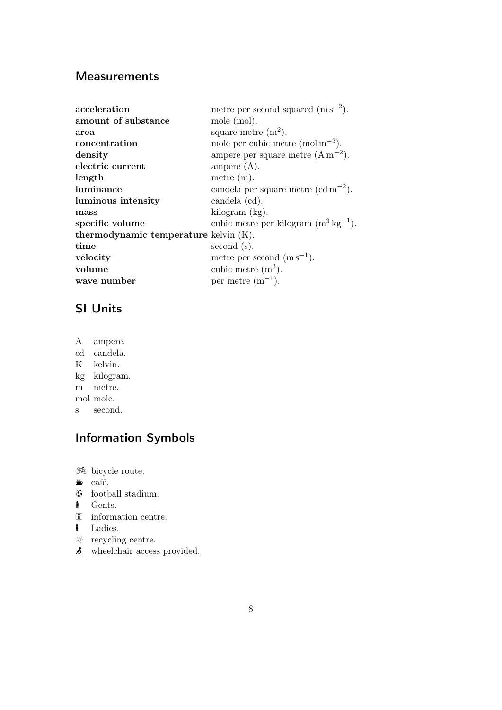## <span id="page-7-24"></span>**Measurements**

<span id="page-7-14"></span><span id="page-7-12"></span><span id="page-7-11"></span><span id="page-7-10"></span><span id="page-7-7"></span><span id="page-7-6"></span><span id="page-7-5"></span><span id="page-7-2"></span><span id="page-7-0"></span>

| acceleration                          | metre per second squared $(m s^{-2})$ .            |
|---------------------------------------|----------------------------------------------------|
| amount of substance                   | mole (mol).                                        |
| area                                  | square metre $(m^2)$ .                             |
| concentration                         | mole per cubic metre (mol $m^{-3}$ ).              |
| density                               | ampere per square metre $(A m^{-2})$ .             |
| electric current                      | ampere $(A)$ .                                     |
| length                                | metre $(m)$ .                                      |
| luminance                             | candela per square metre $(cd m^{-2})$ .           |
| luminous intensity                    | candela (cd).                                      |
| mass                                  | kilogram (kg).                                     |
| specific volume                       | cubic metre per kilogram $(m^3 \text{ kg}^{-1})$ . |
| thermodynamic temperature kelvin (K). |                                                    |
| time                                  | second(s).                                         |
| velocity                              | metre per second $(m s^{-1})$ .                    |
| volume                                | cubic metre $(m^3)$ .                              |
| wave number                           | per metre $(m^{-1})$ .                             |
|                                       |                                                    |

## <span id="page-7-15"></span><span id="page-7-13"></span><span id="page-7-9"></span><span id="page-7-8"></span><span id="page-7-4"></span><span id="page-7-3"></span><span id="page-7-1"></span>SI Units

A ampere.

- cd candela. K kelvin.
- kg kilogram.
- m metre.
- mol mole.
- s second.

# Information Symbols

<span id="page-7-16"></span> $\delta\hspace{-1.1mm}\bar{\!\delta\!}\hspace{-1.1mm}$  bicycle route.

- <span id="page-7-17"></span> $\bullet$  café.
- <span id="page-7-22"></span> $\odot$  football stadium.
- <span id="page-7-19"></span> $\bullet$  Gents.
- <span id="page-7-18"></span>**i** information centre.
- <span id="page-7-20"></span>**i** Ladies.
- <span id="page-7-23"></span> $\overline{\mathbb{R}}$  recycling centre.
- <span id="page-7-21"></span> $\stackrel{\sim}{\bullet}$  wheelchair access provided.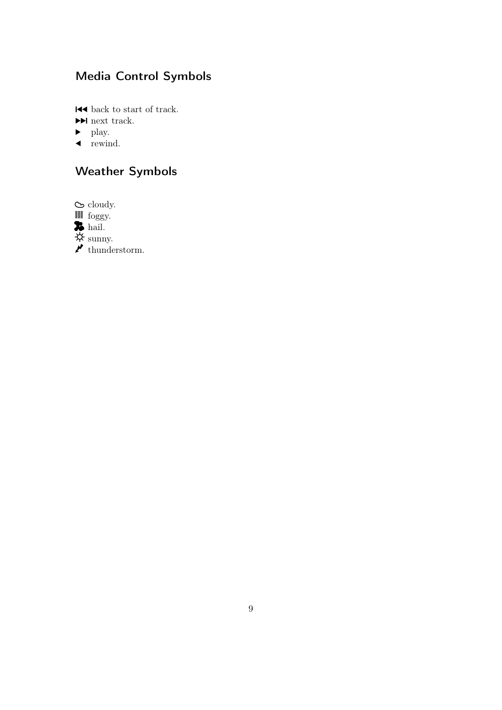# <span id="page-8-9"></span>Media Control Symbols

<span id="page-8-2"></span> $\blacktriangleleft$  back to start of track.

<span id="page-8-1"></span>¹ next track.

- <span id="page-8-0"></span> $\blacktriangleright$  play.
- <span id="page-8-3"></span> $\blacktriangleleft$  rewind.

# Weather Symbols

<span id="page-8-4"></span> $\infty$  cloudy.

<span id="page-8-5"></span> $\mathbb{I}$  foggy.

<span id="page-8-6"></span>**76** hail.

<span id="page-8-7"></span> $~\mathsf{\mathfrak{P} }$  sunny.

<span id="page-8-8"></span> $\mathbf{\ell}$  thunderstorm.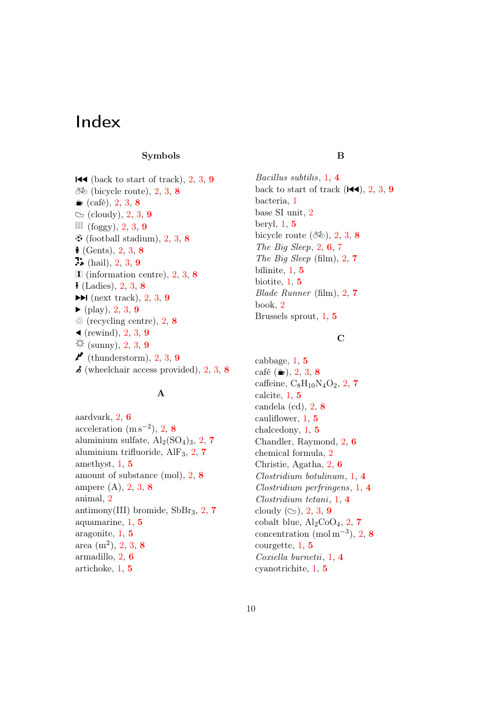# Index

#### Symbols

 $\blacktriangleright$  (back to start of track), [2,](#page-1-0) [3,](#page-2-0) [9](#page-8-9)  $\delta\phi$  (bicycle route), [2,](#page-1-0) [3,](#page-2-0) [8](#page-7-24)  $\triangleq$  (café), [2,](#page-1-0) [3,](#page-2-0) [8](#page-7-24)  $\circlearrowright$  (cloudy), [2,](#page-1-0) [3,](#page-2-0) [9](#page-8-9)  $\blacksquare$  (foggy), [2,](#page-1-0) [3,](#page-2-0) [9](#page-8-9)  $\Theta$  (football stadium), [2,](#page-1-0) [3,](#page-2-0) [8](#page-7-24)  $\bullet$  (Gents), [2,](#page-1-0) [3,](#page-2-0) [8](#page-7-24)  $\ddot{?}$  (hail), [2,](#page-1-0) [3,](#page-2-0) [9](#page-8-9)  $\blacksquare$  (information centre), [2,](#page-1-0) [3,](#page-2-0) [8](#page-7-24)  $\frac{1}{2}$  (Ladies), [2,](#page-1-0) [3,](#page-2-0) [8](#page-7-24)  $\blacktriangleright$ I (next track), [2,](#page-1-0) [3,](#page-2-0) [9](#page-8-9)  $\blacktriangleright$  (play), [2,](#page-1-0) [3,](#page-2-0) [9](#page-8-9)  $\mathbb{E}$  (recycling centre), [2,](#page-1-0) [8](#page-7-24)  $\blacktriangleleft$  (rewind), [2,](#page-1-0) [3,](#page-2-0) [9](#page-8-9)  $\ddot{\odot}$  (sunny), [2,](#page-1-0) [3,](#page-2-0) [9](#page-8-9)  $\mathcal{P}$  (thunderstorm), [2,](#page-1-0) [3,](#page-2-0) [9](#page-8-9)  $\boldsymbol{\delta}$  (wheelchair access provided), [2,](#page-1-0) [3,](#page-2-0) [8](#page-7-24)

### <span id="page-9-6"></span><span id="page-9-5"></span>A

<span id="page-9-1"></span>aardvark, [2,](#page-1-0) [6](#page-5-23) acceleration  $(m s^{-2})$ , [2,](#page-1-0) [8](#page-7-24) aluminium sulfate,  $\text{Al}_2(\text{SO}_4)_3$ , [2,](#page-1-0) [7](#page-6-34) aluminium trifluoride, AlF3, [2,](#page-1-0) [7](#page-6-34) amethyst, [1,](#page-0-0) [5](#page-4-21) amount of substance (mol), [2,](#page-1-0) [8](#page-7-24) ampere (A), [2,](#page-1-0) [3,](#page-2-0) [8](#page-7-24) animal, [2](#page-1-0) antimony(III) bromide,  $SbBr<sub>3</sub>$ , [2,](#page-1-0) [7](#page-6-34) aquamarine, [1,](#page-0-0) [5](#page-4-21) aragonite, [1,](#page-0-0) [5](#page-4-21) area  $(m^2)$ , [2,](#page-1-0) [3,](#page-2-0) [8](#page-7-24) armadillo, [2,](#page-1-0) [6](#page-5-23) artichoke, [1,](#page-0-0) [5](#page-4-21)

#### B

<span id="page-9-3"></span><span id="page-9-0"></span>Bacillus subtilis, [1,](#page-0-0) [4](#page-3-17) back to start of track  $(\blacktriangleleft \blacktriangleleft)$ , [2,](#page-1-0) [3,](#page-2-0) [9](#page-8-9) bacteria, [1](#page-0-0) base SI unit, [2](#page-1-0) beryl, [1,](#page-0-0) [5](#page-4-21) bicycle route  $(\delta\phi)$ , [2,](#page-1-0) [3,](#page-2-0) [8](#page-7-24) The Big Sleep,  $2, 6, 7$  $2, 6, 7$  $2, 6, 7$  $2, 6, 7$  $2, 6, 7$ The Big Sleep (film),  $2, 7$  $2, 7$  $2, 7$ bílinite, [1,](#page-0-0) [5](#page-4-21) biotite, [1,](#page-0-0) [5](#page-4-21) Blade Runner (film), [2,](#page-1-0) [7](#page-6-34) book, [2](#page-1-0) Brussels sprout, [1,](#page-0-0) [5](#page-4-21)

### $\mathbf C$

<span id="page-9-4"></span><span id="page-9-2"></span>cabbage, [1,](#page-0-0) [5](#page-4-21) café ( $\clubsuit$ ), [2,](#page-1-0) [3,](#page-2-0) [8](#page-7-24) caffeine,  $C_8H_{10}N_4O_2$ , [2,](#page-1-0) [7](#page-6-34) calcite, [1,](#page-0-0) [5](#page-4-21) candela (cd), [2,](#page-1-0) [8](#page-7-24) cauliflower, [1,](#page-0-0) [5](#page-4-21) chalcedony, [1,](#page-0-0) [5](#page-4-21) Chandler, Raymond, [2,](#page-1-0) [6](#page-5-23) chemical formula, [2](#page-1-0) Christie, Agatha, [2,](#page-1-0) [6](#page-5-23) Clostridium botulinum, [1,](#page-0-0) [4](#page-3-17) Clostridium perfringens, [1,](#page-0-0) [4](#page-3-17) Clostridium tetani, [1,](#page-0-0) [4](#page-3-17) cloudy  $(\infty)$ , [2,](#page-1-0) [3,](#page-2-0) [9](#page-8-9) cobalt blue,  $Al_2CoO_4$ , [2,](#page-1-0) [7](#page-6-34) concentration (mol m<sup>-3</sup>), [2,](#page-1-0) [8](#page-7-24) courgette, [1,](#page-0-0) [5](#page-4-21) Coxiella burnetii, [1,](#page-0-0) [4](#page-3-17) cyanotrichite, [1,](#page-0-0) [5](#page-4-21)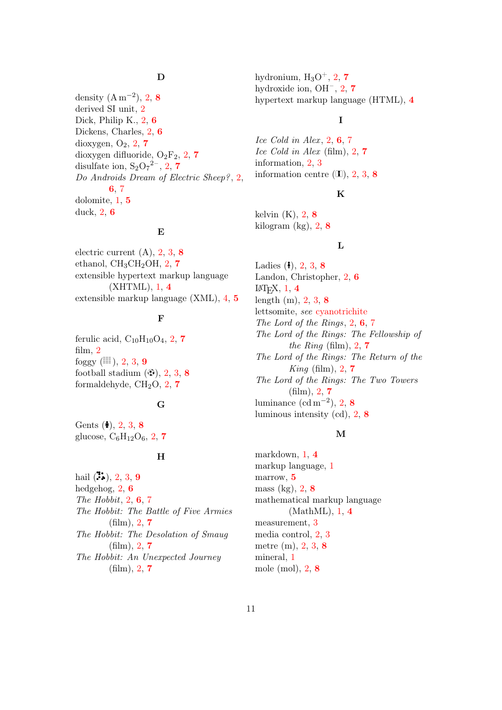### D

<span id="page-10-2"></span>density  $(A m^{-2})$ , [2,](#page-1-0) [8](#page-7-24) derived SI unit, [2](#page-1-0) Dick, Philip K., [2,](#page-1-0) [6](#page-5-23) Dickens, Charles, [2,](#page-1-0) [6](#page-5-23) dioxygen,  $O_2$ ,  $2$ ,  $7$ dioxygen difluoride,  $O_2F_2$ , [2,](#page-1-0) [7](#page-6-34) disulfate ion,  $S_2O_7^{2-}$  $S_2O_7^{2-}$  $S_2O_7^{2-}$ , [2,](#page-1-0) 7 Do Androids Dream of Electric Sheep?, [2,](#page-1-0) [6](#page-5-23), [7](#page-6-34) dolomite, [1,](#page-0-0) [5](#page-4-21) duck, [2,](#page-1-0) [6](#page-5-23)

#### E

electric current (A), [2,](#page-1-0) [3,](#page-2-0) [8](#page-7-24) ethanol,  $CH_3CH_2OH$ , [2,](#page-1-0) [7](#page-6-34) extensible hypertext markup language (XHTML), [1,](#page-0-0) [4](#page-3-17) extensible markup language (XML), [4,](#page-3-17) [5](#page-4-21)

#### F

<span id="page-10-3"></span>ferulic acid,  $C_{10}H_{10}O_4$ , [2,](#page-1-0) [7](#page-6-34) film, [2](#page-1-0) foggy  $(\blacksquare)$ , [2,](#page-1-0) [3,](#page-2-0) [9](#page-8-9) football stadium  $(\mathfrak{B})$ , [2,](#page-1-0) [3,](#page-2-0) [8](#page-7-24) formaldehyde,  $CH<sub>2</sub>O$ ,  $2, 7$  $2, 7$  $2, 7$ 

## G

Gents  $(**i**), 2, 3, 8$  $(**i**), 2, 3, 8$  $(**i**), 2, 3, 8$  $(**i**), 2, 3, 8$  $(**i**), 2, 3, 8$  $(**i**), 2, 3, 8$ glucose,  $C_6H_{12}O_6$ , [2,](#page-1-0) [7](#page-6-34)

#### H

hail  $(\mathbf{3}, 2, 3, 9)$  $(\mathbf{3}, 2, 3, 9)$  $(\mathbf{3}, 2, 3, 9)$  $(\mathbf{3}, 2, 3, 9)$  $(\mathbf{3}, 2, 3, 9)$  $(\mathbf{3}, 2, 3, 9)$  $(\mathbf{3}, 2, 3, 9)$ hedgehog, [2,](#page-1-0) [6](#page-5-23) The Hobbit,  $2, 6, 7$  $2, 6, 7$  $2, 6, 7$  $2, 6, 7$  $2, 6, 7$ The Hobbit: The Battle of Five Armies  $(film), 2, 7$  $(film), 2, 7$  $(film), 2, 7$  $(film), 2, 7$ The Hobbit: The Desolation of Smaug  $(film)$ , [2,](#page-1-0) [7](#page-6-34) The Hobbit: An Unexpected Journey  $(film)$ , [2,](#page-1-0) [7](#page-6-34)

hydronium,  $H_3O^+, 2, 7$  $H_3O^+, 2, 7$  $H_3O^+, 2, 7$  $H_3O^+, 2, 7$ hydroxide ion,  $OH^-$ , [2,](#page-1-0) [7](#page-6-34) hypertext markup language (HTML), [4](#page-3-17)

#### I

<span id="page-10-5"></span>Ice Cold in Alex,  $2, 6, 7$  $2, 6, 7$  $2, 6, 7$  $2, 6, 7$  $2, 6, 7$ Ice Cold in Alex (film), [2,](#page-1-0) [7](#page-6-34) information, [2,](#page-1-0) [3](#page-2-0) information centre  $(\mathbf{I}), 2, 3, 8$  $(\mathbf{I}), 2, 3, 8$  $(\mathbf{I}), 2, 3, 8$  $(\mathbf{I}), 2, 3, 8$  $(\mathbf{I}), 2, 3, 8$  $(\mathbf{I}), 2, 3, 8$ 

## K

kelvin  $(K)$ , [2,](#page-1-0) [8](#page-7-24) kilogram  $(kg)$ , [2,](#page-1-0) [8](#page-7-24)

#### L

Ladies  $(1), 2, 3, 8$  $(1), 2, 3, 8$  $(1), 2, 3, 8$  $(1), 2, 3, 8$  $(1), 2, 3, 8$  $(1), 2, 3, 8$ Landon, Christopher, [2,](#page-1-0) [6](#page-5-23)  $LFT$ <sub>F</sub>X,  $1, 4$  $1, 4$  $1, 4$ length (m), [2,](#page-1-0) [3,](#page-2-0) [8](#page-7-24) lettsomite, see [cyanotrichite](#page-9-5) The Lord of the Rings, [2,](#page-1-0) [6](#page-5-23), [7](#page-6-34) The Lord of the Rings: The Fellowship of the Ring (film),  $2, 7$  $2, 7$  $2, 7$ The Lord of the Rings: The Return of the  $King$  (film), [2,](#page-1-0) [7](#page-6-34) The Lord of the Rings: The Two Towers (film), [2,](#page-1-0) [7](#page-6-34) luminance  $(\text{cd m}^{-2}), 2, 8$  $(\text{cd m}^{-2}), 2, 8$  $(\text{cd m}^{-2}), 2, 8$  $(\text{cd m}^{-2}), 2, 8$ luminous intensity (cd), [2,](#page-1-0) [8](#page-7-24)

#### M

<span id="page-10-6"></span><span id="page-10-4"></span><span id="page-10-1"></span><span id="page-10-0"></span>markdown, [1,](#page-0-0) [4](#page-3-17) markup language, [1](#page-0-0) marrow, [5](#page-4-21) mass (kg), [2,](#page-1-0) [8](#page-7-24) mathematical markup language (MathML), [1,](#page-0-0) [4](#page-3-17) measurement, [3](#page-2-0) media control, [2,](#page-1-0) [3](#page-2-0) metre (m), [2,](#page-1-0) [3,](#page-2-0) [8](#page-7-24) mineral, [1](#page-0-0) mole (mol), [2,](#page-1-0) [8](#page-7-24)